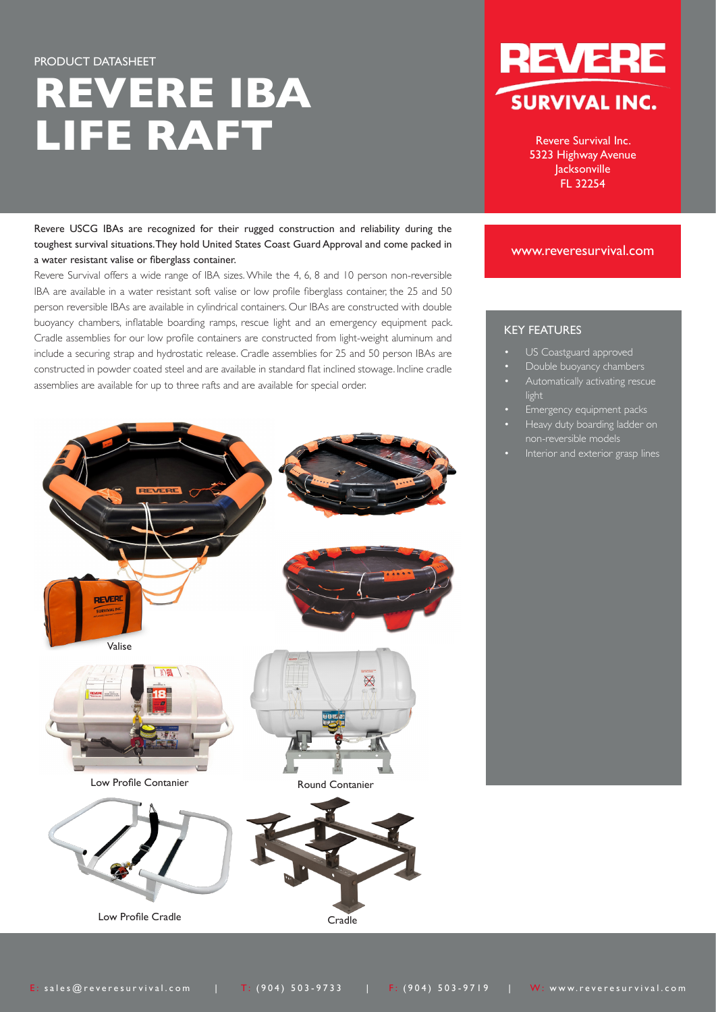# PRODUCT DATASHEET **REVERE IBA LIFE RAFT**

Revere USCG IBAs are recognized for their rugged construction and reliability during the toughest survival situations. They hold United States Coast Guard Approval and come packed in a water resistant valise or fiberglass container.

Revere Survival offers a wide range of IBA sizes. While the 4, 6, 8 and 10 person non-reversible IBA are available in a water resistant soft valise or low profile fiberglass container, the 25 and 50 person reversible IBAs are available in cylindrical containers. Our IBAs are constructed with double buoyancy chambers, inflatable boarding ramps, rescue light and an emergency equipment pack. Cradle assemblies for our low profile containers are constructed from light-weight aluminum and include a securing strap and hydrostatic release. Cradle assemblies for 25 and 50 person IBAs are constructed in powder coated steel and are available in standard flat inclined stowage. Incline cradle assemblies are available for up to three rafts and are available for special order.





Revere Survival Inc. 5323 Highway Avenue Jacksonville FL 32254

## www.reveresurvival.com

# KEY FEATURES

- US Coastguard approved
- Double buoyancy chambers
- Automatically activating rescue light
- Emergency equipment packs
- Heavy duty boarding ladder on non-reversible models
- Interior and exterior grasp lines